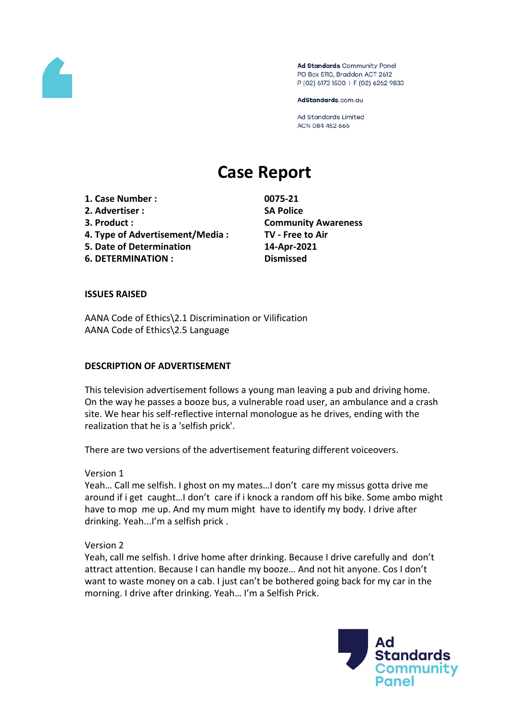

Ad Standards Community Panel PO Box 5110, Braddon ACT 2612 P (02) 6173 1500 | F (02) 6262 9833

AdStandards.com.au

**Ad Standards Limited** ACN 084 452 666

# **Case Report**

**1. Case Number : 0075-21 2. Advertiser : SA Police 3. Product : Community Awareness 4. Type of Advertisement/Media : TV - Free to Air 5. Date of Determination 14-Apr-2021 6. DETERMINATION : Dismissed**

# **ISSUES RAISED**

AANA Code of Ethics\2.1 Discrimination or Vilification AANA Code of Ethics\2.5 Language

#### **DESCRIPTION OF ADVERTISEMENT**

This television advertisement follows a young man leaving a pub and driving home. On the way he passes a booze bus, a vulnerable road user, an ambulance and a crash site. We hear his self-reflective internal monologue as he drives, ending with the realization that he is a 'selfish prick'.

There are two versions of the advertisement featuring different voiceovers.

Version 1

Yeah… Call me selfish. I ghost on my mates…I don't care my missus gotta drive me around if i get caught…I don't care if i knock a random off his bike. Some ambo might have to mop me up. And my mum might have to identify my body. I drive after drinking. Yeah...I'm a selfish prick .

Version 2

Yeah, call me selfish. I drive home after drinking. Because I drive carefully and don't attract attention. Because I can handle my booze… And not hit anyone. Cos I don't want to waste money on a cab. I just can't be bothered going back for my car in the morning. I drive after drinking. Yeah… I'm a Selfish Prick.

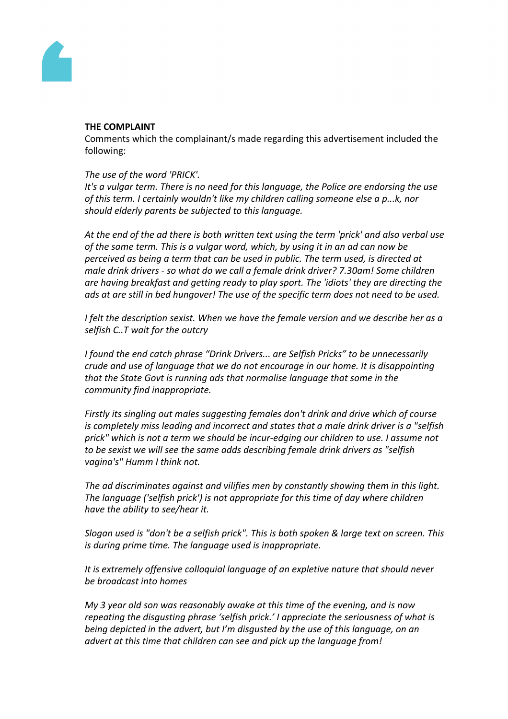

## **THE COMPLAINT**

Comments which the complainant/s made regarding this advertisement included the following:

# *The use of the word 'PRICK'.*

*It's a vulgar term. There is no need for this language, the Police are endorsing the use of this term. I certainly wouldn't like my children calling someone else a p...k, nor should elderly parents be subjected to this language.*

*At the end of the ad there is both written text using the term 'prick' and also verbal use of the same term. This is a vulgar word, which, by using it in an ad can now be perceived as being a term that can be used in public. The term used, is directed at male drink drivers - so what do we call a female drink driver? 7.30am! Some children are having breakfast and getting ready to play sport. The 'idiots' they are directing the ads at are still in bed hungover! The use of the specific term does not need to be used.*

*I felt the description sexist. When we have the female version and we describe her as a selfish C..T wait for the outcry*

*I found the end catch phrase "Drink Drivers... are Selfish Pricks" to be unnecessarily crude and use of language that we do not encourage in our home. It is disappointing that the State Govt is running ads that normalise language that some in the community find inappropriate.*

*Firstly its singling out males suggesting females don't drink and drive which of course is completely miss leading and incorrect and states that a male drink driver is a "selfish prick" which is not a term we should be incur-edging our children to use. I assume not to be sexist we will see the same adds describing female drink drivers as "selfish vagina's" Humm I think not.*

*The ad discriminates against and vilifies men by constantly showing them in this light. The language ('selfish prick') is not appropriate for this time of day where children have the ability to see/hear it.*

*Slogan used is "don't be a selfish prick". This is both spoken & large text on screen. This is during prime time. The language used is inappropriate.*

*It is extremely offensive colloquial language of an expletive nature that should never be broadcast into homes*

*My 3 year old son was reasonably awake at this time of the evening, and is now repeating the disgusting phrase 'selfish prick.' I appreciate the seriousness of what is being depicted in the advert, but I'm disgusted by the use of this language, on an advert at this time that children can see and pick up the language from!*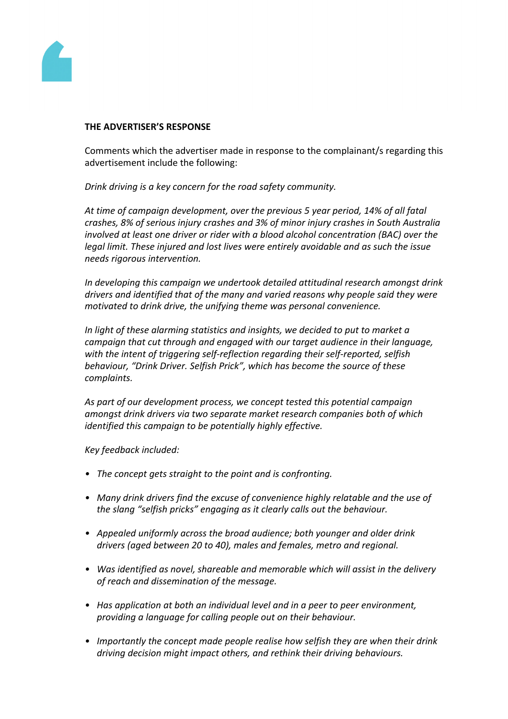

### **THE ADVERTISER'S RESPONSE**

Comments which the advertiser made in response to the complainant/s regarding this advertisement include the following:

*Drink driving is a key concern for the road safety community.*

*At time of campaign development, over the previous 5 year period, 14% of all fatal crashes, 8% of serious injury crashes and 3% of minor injury crashes in South Australia involved at least one driver or rider with a blood alcohol concentration (BAC) over the legal limit. These injured and lost lives were entirely avoidable and as such the issue needs rigorous intervention.* 

*In developing this campaign we undertook detailed attitudinal research amongst drink drivers and identified that of the many and varied reasons why people said they were motivated to drink drive, the unifying theme was personal convenience.*

*In light of these alarming statistics and insights, we decided to put to market a campaign that cut through and engaged with our target audience in their language, with the intent of triggering self-reflection regarding their self-reported, selfish behaviour, "Drink Driver. Selfish Prick", which has become the source of these complaints.*

*As part of our development process, we concept tested this potential campaign amongst drink drivers via two separate market research companies both of which identified this campaign to be potentially highly effective.*

*Key feedback included:*

- *• The concept gets straight to the point and is confronting.*
- *• Many drink drivers find the excuse of convenience highly relatable and the use of the slang "selfish pricks" engaging as it clearly calls out the behaviour.*
- *• Appealed uniformly across the broad audience; both younger and older drink drivers (aged between 20 to 40), males and females, metro and regional.*
- *• Was identified as novel, shareable and memorable which will assist in the delivery of reach and dissemination of the message.*
- *• Has application at both an individual level and in a peer to peer environment, providing a language for calling people out on their behaviour.*
- *• Importantly the concept made people realise how selfish they are when their drink driving decision might impact others, and rethink their driving behaviours.*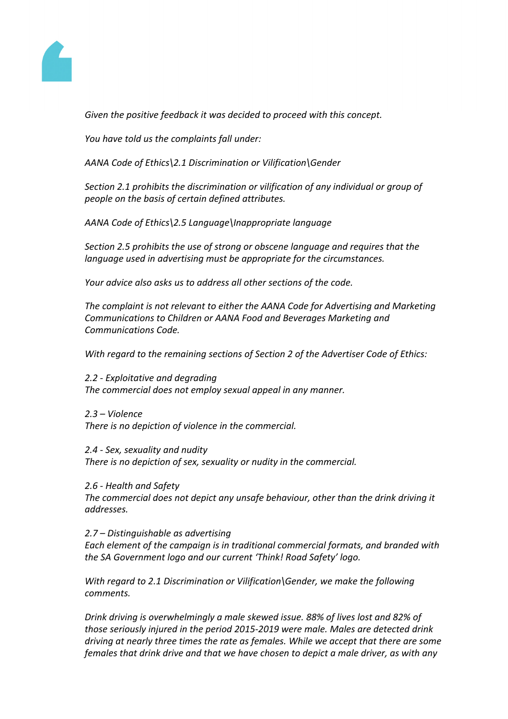

*Given the positive feedback it was decided to proceed with this concept.* 

*You have told us the complaints fall under:*

*AANA Code of Ethics\2.1 Discrimination or Vilification\Gender*

*Section 2.1 prohibits the discrimination or vilification of any individual or group of people on the basis of certain defined attributes.*

*AANA Code of Ethics\2.5 Language\Inappropriate language*

*Section 2.5 prohibits the use of strong or obscene language and requires that the language used in advertising must be appropriate for the circumstances.*

*Your advice also asks us to address all other sections of the code.*

*The complaint is not relevant to either the AANA Code for Advertising and Marketing Communications to Children or AANA Food and Beverages Marketing and Communications Code.*

*With regard to the remaining sections of Section 2 of the Advertiser Code of Ethics:*

*2.2 - Exploitative and degrading The commercial does not employ sexual appeal in any manner.*

*2.3 – Violence There is no depiction of violence in the commercial.*

*2.4 - Sex, sexuality and nudity There is no depiction of sex, sexuality or nudity in the commercial.*

*2.6 - Health and Safety*

*The commercial does not depict any unsafe behaviour, other than the drink driving it addresses.*

*2.7 – Distinguishable as advertising*

*Each element of the campaign is in traditional commercial formats, and branded with the SA Government logo and our current 'Think! Road Safety' logo.*

*With regard to 2.1 Discrimination or Vilification\Gender, we make the following comments.*

*Drink driving is overwhelmingly a male skewed issue. 88% of lives lost and 82% of those seriously injured in the period 2015-2019 were male. Males are detected drink driving at nearly three times the rate as females. While we accept that there are some females that drink drive and that we have chosen to depict a male driver, as with any*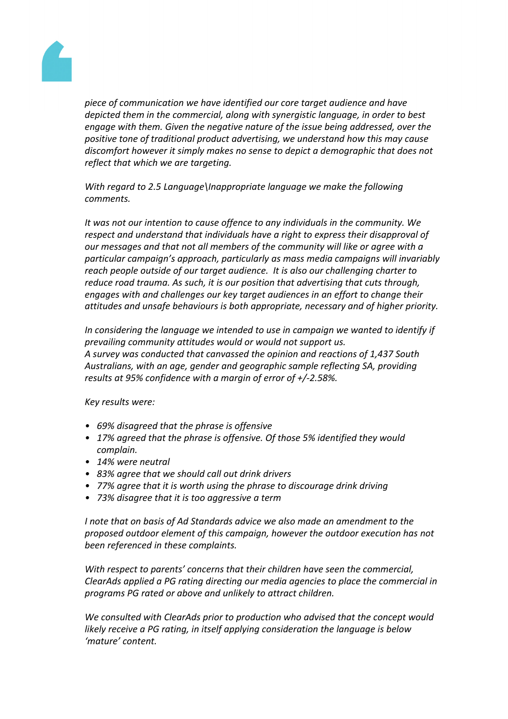

*piece of communication we have identified our core target audience and have depicted them in the commercial, along with synergistic language, in order to best engage with them. Given the negative nature of the issue being addressed, over the positive tone of traditional product advertising, we understand how this may cause discomfort however it simply makes no sense to depict a demographic that does not reflect that which we are targeting.*

*With regard to 2.5 Language\Inappropriate language we make the following comments.*

*It was not our intention to cause offence to any individuals in the community. We respect and understand that individuals have a right to express their disapproval of our messages and that not all members of the community will like or agree with a particular campaign's approach, particularly as mass media campaigns will invariably reach people outside of our target audience. It is also our challenging charter to reduce road trauma. As such, it is our position that advertising that cuts through, engages with and challenges our key target audiences in an effort to change their attitudes and unsafe behaviours is both appropriate, necessary and of higher priority.*

*In considering the language we intended to use in campaign we wanted to identify if prevailing community attitudes would or would not support us. A survey was conducted that canvassed the opinion and reactions of 1,437 South Australians, with an age, gender and geographic sample reflecting SA, providing results at 95% confidence with a margin of error of +/-2.58%.*

*Key results were:*

- *• 69% disagreed that the phrase is offensive*
- *• 17% agreed that the phrase is offensive. Of those 5% identified they would complain.*
- *• 14% were neutral*
- *• 83% agree that we should call out drink drivers*
- *• 77% agree that it is worth using the phrase to discourage drink driving*
- *• 73% disagree that it is too aggressive a term*

*I note that on basis of Ad Standards advice we also made an amendment to the proposed outdoor element of this campaign, however the outdoor execution has not been referenced in these complaints.*

*With respect to parents' concerns that their children have seen the commercial, ClearAds applied a PG rating directing our media agencies to place the commercial in programs PG rated or above and unlikely to attract children.*

*We consulted with ClearAds prior to production who advised that the concept would likely receive a PG rating, in itself applying consideration the language is below 'mature' content.*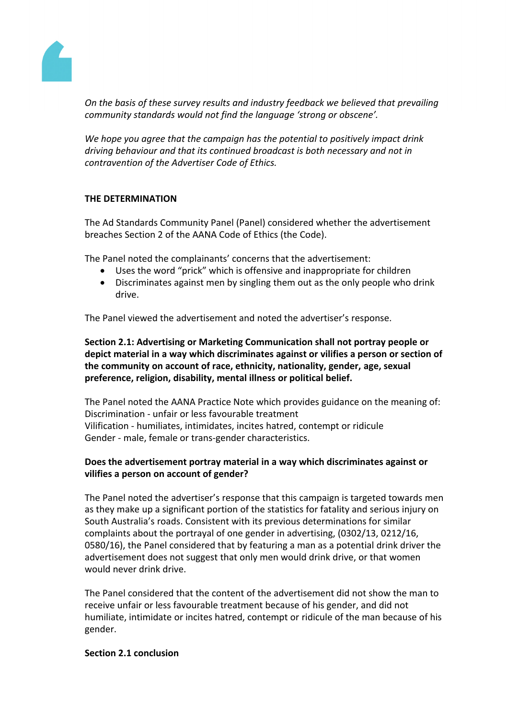

*On the basis of these survey results and industry feedback we believed that prevailing community standards would not find the language 'strong or obscene'.*

*We hope you agree that the campaign has the potential to positively impact drink driving behaviour and that its continued broadcast is both necessary and not in contravention of the Advertiser Code of Ethics.*

# **THE DETERMINATION**

The Ad Standards Community Panel (Panel) considered whether the advertisement breaches Section 2 of the AANA Code of Ethics (the Code).

The Panel noted the complainants' concerns that the advertisement:

- Uses the word "prick" which is offensive and inappropriate for children
- Discriminates against men by singling them out as the only people who drink drive.

The Panel viewed the advertisement and noted the advertiser's response.

**Section 2.1: Advertising or Marketing Communication shall not portray people or depict material in a way which discriminates against or vilifies a person or section of the community on account of race, ethnicity, nationality, gender, age, sexual preference, religion, disability, mental illness or political belief.**

The Panel noted the AANA Practice Note which provides guidance on the meaning of: Discrimination - unfair or less favourable treatment Vilification - humiliates, intimidates, incites hatred, contempt or ridicule Gender - male, female or trans-gender characteristics.

# **Does the advertisement portray material in a way which discriminates against or vilifies a person on account of gender?**

The Panel noted the advertiser's response that this campaign is targeted towards men as they make up a significant portion of the statistics for fatality and serious injury on South Australia's roads. Consistent with its previous determinations for similar complaints about the portrayal of one gender in advertising, (0302/13, 0212/16, 0580/16), the Panel considered that by featuring a man as a potential drink driver the advertisement does not suggest that only men would drink drive, or that women would never drink drive.

The Panel considered that the content of the advertisement did not show the man to receive unfair or less favourable treatment because of his gender, and did not humiliate, intimidate or incites hatred, contempt or ridicule of the man because of his gender.

# **Section 2.1 conclusion**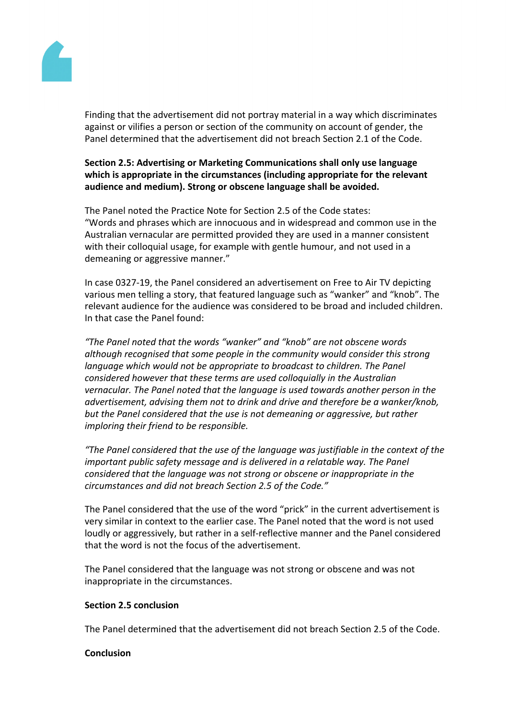

Finding that the advertisement did not portray material in a way which discriminates against or vilifies a person or section of the community on account of gender, the Panel determined that the advertisement did not breach Section 2.1 of the Code.

**Section 2.5: Advertising or Marketing Communications shall only use language which is appropriate in the circumstances (including appropriate for the relevant audience and medium). Strong or obscene language shall be avoided.**

The Panel noted the Practice Note for Section 2.5 of the Code states: "Words and phrases which are innocuous and in widespread and common use in the Australian vernacular are permitted provided they are used in a manner consistent with their colloquial usage, for example with gentle humour, and not used in a demeaning or aggressive manner."

In case 0327-19, the Panel considered an advertisement on Free to Air TV depicting various men telling a story, that featured language such as "wanker" and "knob". The relevant audience for the audience was considered to be broad and included children. In that case the Panel found:

*"The Panel noted that the words "wanker" and "knob" are not obscene words although recognised that some people in the community would consider this strong language which would not be appropriate to broadcast to children. The Panel considered however that these terms are used colloquially in the Australian vernacular. The Panel noted that the language is used towards another person in the advertisement, advising them not to drink and drive and therefore be a wanker/knob, but the Panel considered that the use is not demeaning or aggressive, but rather imploring their friend to be responsible.*

*"The Panel considered that the use of the language was justifiable in the context of the important public safety message and is delivered in a relatable way. The Panel considered that the language was not strong or obscene or inappropriate in the circumstances and did not breach Section 2.5 of the Code."*

The Panel considered that the use of the word "prick" in the current advertisement is very similar in context to the earlier case. The Panel noted that the word is not used loudly or aggressively, but rather in a self-reflective manner and the Panel considered that the word is not the focus of the advertisement.

The Panel considered that the language was not strong or obscene and was not inappropriate in the circumstances.

# **Section 2.5 conclusion**

The Panel determined that the advertisement did not breach Section 2.5 of the Code.

### **Conclusion**